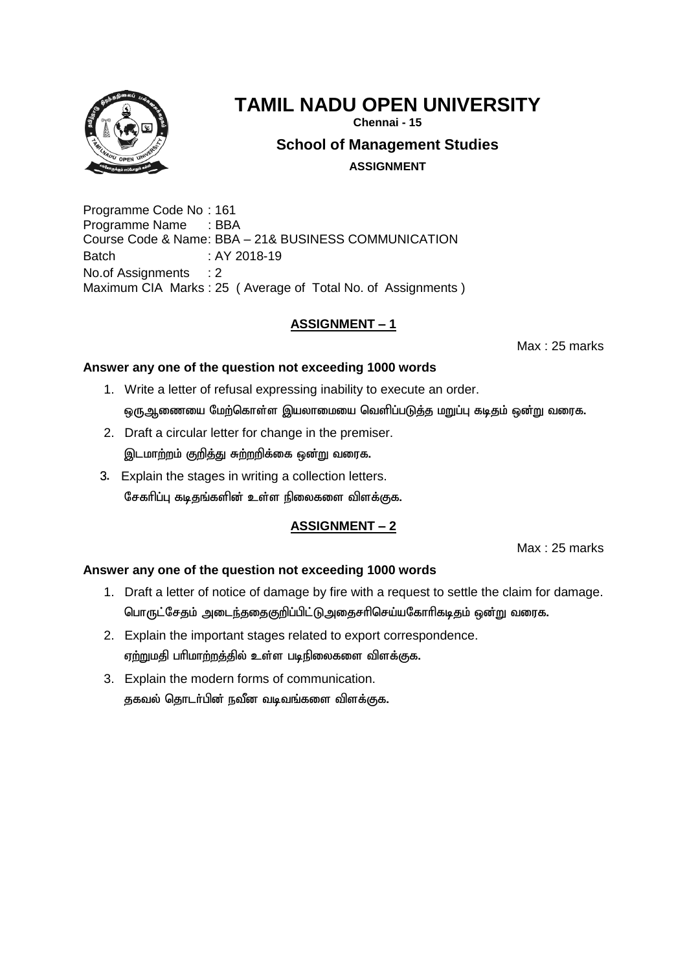

**Chennai - 15**

**School of Management Studies**

**ASSIGNMENT**

Programme Code No : 161 Programme Name : BBA Course Code & Name: BBA – 21& BUSINESS COMMUNICATION Batch : AY 2018-19 No.of Assignments : 2 Maximum CIA Marks : 25 ( Average of Total No. of Assignments )

# **ASSIGNMENT – 1**

Max : 25 marks

## **Answer any one of the question not exceeding 1000 words**

- 1. Write a letter of refusal expressing inability to execute an order. ஒரு ஆணையை மேற்கொள்ள இயலாமையை வெளிப்படுத்த மறுப்பு கடிதம் ஒன்று வரைக.
- 2. Draft a circular letter for change in the premiser. இடமாற்றம் குறித்து சுற்றறிக்கை ஒன்று வரைக.
- 3. Explain the stages in writing a collection letters. சேகரிப்பு கடிதங்களின் உள்ள நிலைகளை விளக்குக.

# **ASSIGNMENT – 2**

Max : 25 marks

- 1. Draft a letter of notice of damage by fire with a request to settle the claim for damage. பொருட்சேதம் அடைந்ததைகுறிப்பிட்டு,அதைசரிசெய்யகோரிகடிதம் ஒன்று வரைக.
- 2. Explain the important stages related to export correspondence. ஏற்றுமதி பரிமாற்றத்தில் உள்ள படிநிலைகளை விளக்குக.
- 3. Explain the modern forms of communication. தகவல் தொடர்பின் நவீன வடிவங்களை விளக்குக.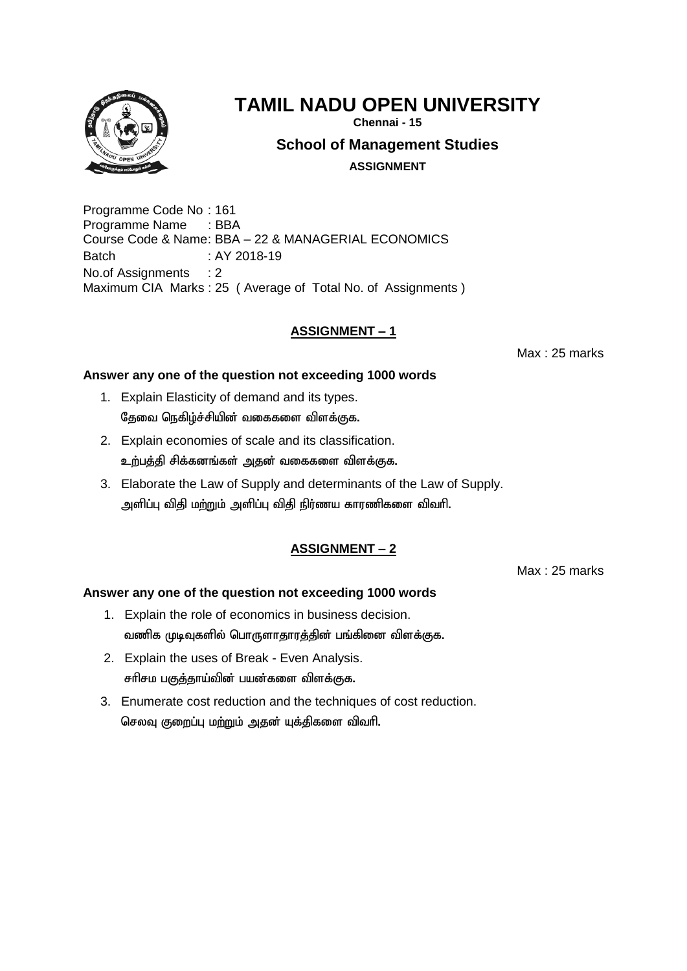

**Chennai - 15**

**School of Management Studies**

**ASSIGNMENT**

Programme Code No : 161 Programme Name : BBA Course Code & Name: BBA – 22 & MANAGERIAL ECONOMICS Batch : AY 2018-19 No.of Assignments : 2 Maximum CIA Marks : 25 ( Average of Total No. of Assignments )

# **ASSIGNMENT – 1**

Max : 25 marks

## **Answer any one of the question not exceeding 1000 words**

- 1. Explain Elasticity of demand and its types. தேவை நெகிழ்ச்சியின் வகைகளை விளக்குக.
- 2. Explain economies of scale and its classification. உற்பத்தி சிக்கனங்கள் அதன் வகைகளை விளக்குக.
- 3. Elaborate the Law of Supply and determinants of the Law of Supply. அளிப்பு விதி மற்றும் அளிப்பு விதி நிர்ணய காரணிகளை விவரி.

# **ASSIGNMENT – 2**

Max : 25 marks

- 1. Explain the role of economics in business decision. வணிக முடிவுகளில் பொருளாதாரத்தின் பங்கினை விளக்குக.
- 2. Explain the uses of Break Even Analysis. சரிசம பகுத்தாய்வின் பயன்களை விளக்குக.
- 3. Enumerate cost reduction and the techniques of cost reduction. செலவு குறைப்பு மற்றும் அதன் யுக்கிகளை விவரி.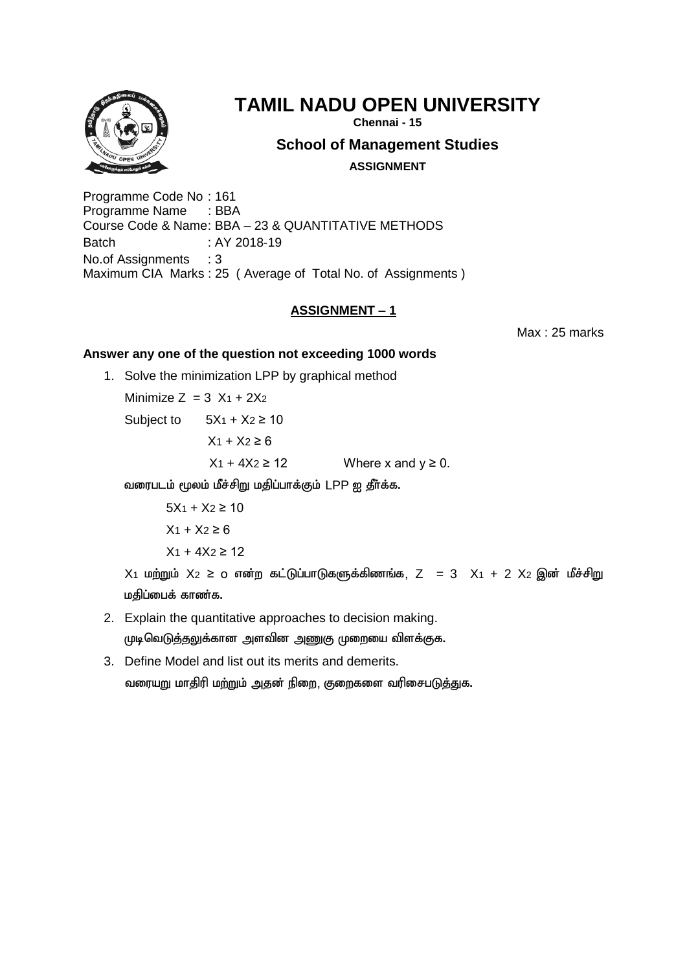

**Chennai - 15**

# **School of Management Studies**

**ASSIGNMENT**

Programme Code No : 161 Programme Name : BBA Course Code & Name: BBA – 23 & QUANTITATIVE METHODS Batch : AY 2018-19 No.of Assignments : 3 Maximum CIA Marks : 25 ( Average of Total No. of Assignments )

# **ASSIGNMENT – 1**

Max : 25 marks

## **Answer any one of the question not exceeding 1000 words**

1. Solve the minimization LPP by graphical method

Minimize  $Z = 3 X_1 + 2X_2$ 

Subject to  $5X_1 + X_2 \ge 10$ 

 $X_1 + X_2 \ge 6$ 

 $X_1 + 4X_2 \ge 12$  Where x and  $y \ge 0$ .

வரைபடம் மூலம் மீச்சிறு மதிப்பாக்கும் LPP ஐ தீர்க்க.

 $5X_1 + X_2 \ge 10$  $X_1 + X_2 \ge 6$  $X_1 + 4X_2 \ge 12$ 

 $X_1$  மற்றும்  $X_2 \geq 0$  என்ற கட்டுப்பாடுகளுக்கிணங்க, Z = 3  $X_1 + 2 X_2$  இன் மீச்சிறு மதிப்பைக் காண்க.

2. Explain the quantitative approaches to decision making.

முடிவெடுத்தலுக்கான அளவின அணுகு முறையை விளக்குக.

3. Define Model and list out its merits and demerits. வரையறு மாதிரி மற்றும் அதன் நிறை, குறைகளை வரிசைபடுத்துக.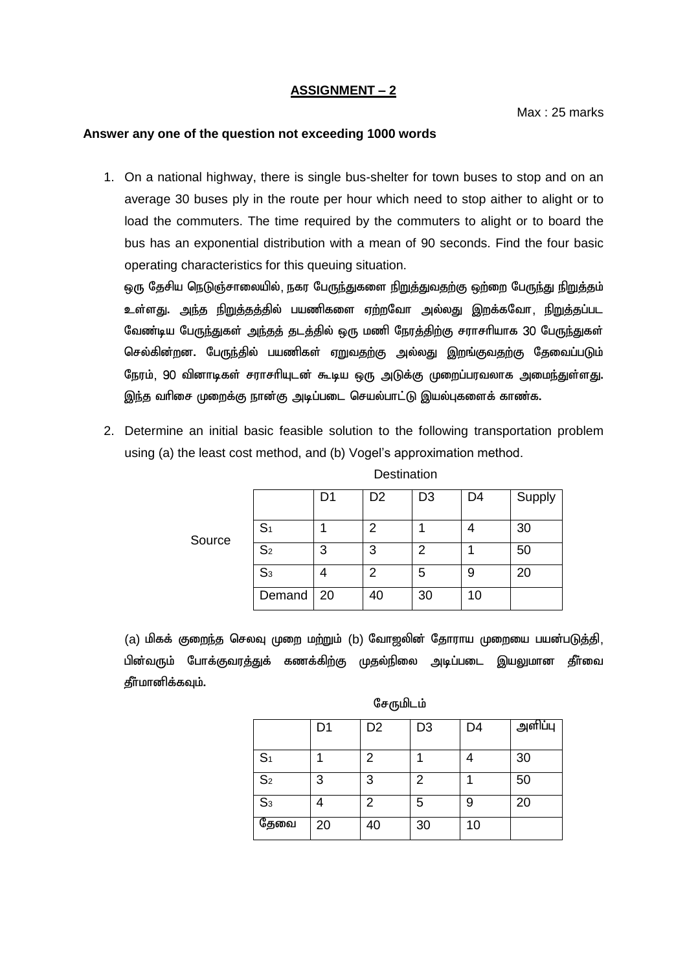#### **Answer any one of the question not exceeding 1000 words**

1. On a national highway, there is single bus-shelter for town buses to stop and on an average 30 buses ply in the route per hour which need to stop aither to alight or to load the commuters. The time required by the commuters to alight or to board the bus has an exponential distribution with a mean of 90 seconds. Find the four basic operating characteristics for this queuing situation.

ஒரு தேசிய நெடுஞ்சாலையில், நகர பேருந்துகளை <u>நிறுத்துவதற்கு</u> ஒற்றை பேருந்து நிறுத்தம் உள்ளது. <u>அந்த நிறுத்தத்</u>தில் பயணிகளை ஏற்றவோ அல்லது இறக்கவோ, <u>நிறுத்த</u>ப்பட வேண்டிய பேருந்துகள் அந்தத் தடத்தில் ஒரு மணி நேரத்திற்கு சராசரியாக 30 பேருந்துகள் செல்கின்றன. பேருந்தில் பயணிகள் ஏறுவதற்கு அல்லது இறங்குவதற்கு தேவைப்படும் நேரம், 90 வினாடிகள் சராசாியுடன் கூடிய ஒரு அடுக்கு முறைப்பரவலாக அமைந்துள்ளது. இந்த வரிசை முறைக்கு நான்கு அடிப்படை செயல்பாட்டு இயல்புகளைக் காண்க.

2. Determine an initial basic feasible solution to the following transportation problem using (a) the least cost method, and (b) Vogel's approximation method.

|        |                | D1 | D <sub>2</sub> | D <sub>3</sub> | D4 | Supply |
|--------|----------------|----|----------------|----------------|----|--------|
| Source | S <sub>1</sub> |    | っ              |                |    | 30     |
|        | S <sub>2</sub> | 3  | 3              | 2              |    | 50     |
|        | S <sub>3</sub> |    | 2              | 5              | 9  | 20     |
|        | Demand   20    |    | 40             | 30             | 10 |        |

**Destination** 

(a) மிகக் குறைந்த செலவு முறை மற்றும் (b) வோஜலின் தோராய முறையை பயன்படுத்தி, பின்வரும் போக்குவரத்துக் கணக்கிற்கு முதல்நிலை அடிப்படை இயலுமான தீா்வை தீர்மானிக்கவும்.

| சேருமிடம் |  |
|-----------|--|
|-----------|--|

|                | D <sub>1</sub> | D <sub>2</sub> | D <sub>3</sub> | D <sub>4</sub> | அளிப்பு |
|----------------|----------------|----------------|----------------|----------------|---------|
| S <sub>1</sub> |                | 2              |                |                | 30      |
| S <sub>2</sub> | 3              | 3              | 2              |                | 50      |
| S <sub>3</sub> |                | 2              | 5              | 9              | 20      |
| தேவை           | 20             | 40             | 30             | 10             |         |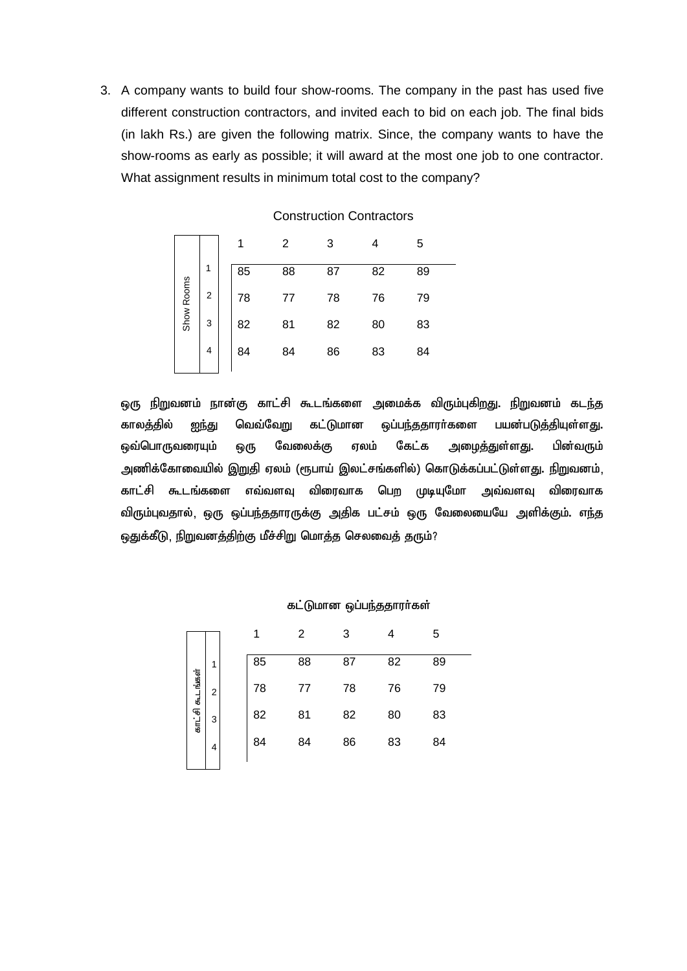3. A company wants to build four show-rooms. The company in the past has used five different construction contractors, and invited each to bid on each job. The final bids (in lakh Rs.) are given the following matrix. Since, the company wants to have the show-rooms as early as possible; it will award at the most one job to one contractor. What assignment results in minimum total cost to the company?

|            |             |    | 2  | 3  |    | 5  |  |
|------------|-------------|----|----|----|----|----|--|
|            | 1           | 85 | 88 | 87 | 82 | 89 |  |
| Show Rooms | $\mathbf 2$ | 78 |    | 78 | 76 | 79 |  |
|            | 3           | 82 | 81 | 82 | 80 | 83 |  |
|            | 4           | 84 | 84 | 86 | 83 | 84 |  |

#### Construction Contractors

ஒரு நிறுவனம் நான்கு காட்சி கூடங்களை அமைக்க விரும்புகிறது. நிறுவனம் கடந்த காலத்தில் <u>ஐந்து</u> வெவ்வேறு கட்டுமான ஒப்பந்ததாரா்களை பயன்படுத்தியுள்ளது. ஒவ்பொருவரையும் ஒரு வேலைக்கு ஏலம் கேட்க அழைத்துள்ளது. பின்வரும் அணிக்கோவையில் இறுதி ஏலம் (ரூபாய் இலட்சங்களில்) கொடுக்கப்பட்டுள்ளது. நிறுவனம், காட்சி கூடங்களை எவ்வளவு விரைவாக பெற முடியுமோ அவ்வளவு விரைவாக விரும்புவதால், ஒரு ஒப்பந்ததாரருக்கு அதிக பட்சம் ஒரு வேலையையே அளிக்கும். எந்த ஒதுக்கீடு, நிறுவனத்திற்கு மீச்சிறு மொத்த செலவைத் தரும்?

#### கட்டுமான ஒப்பந்ததாரர்கள்

|                 |   |    | $\overline{2}$ | 3  | 4  | 5  |
|-----------------|---|----|----------------|----|----|----|
|                 | 1 | 85 | 88             | 87 | 82 | 89 |
|                 | 2 | 78 | 77             | 78 | 76 | 79 |
| காட்சி கூடங்கள் | 3 | 82 | 81             | 82 | 80 | 83 |
|                 | 4 | 84 | 84             | 86 | 83 | 84 |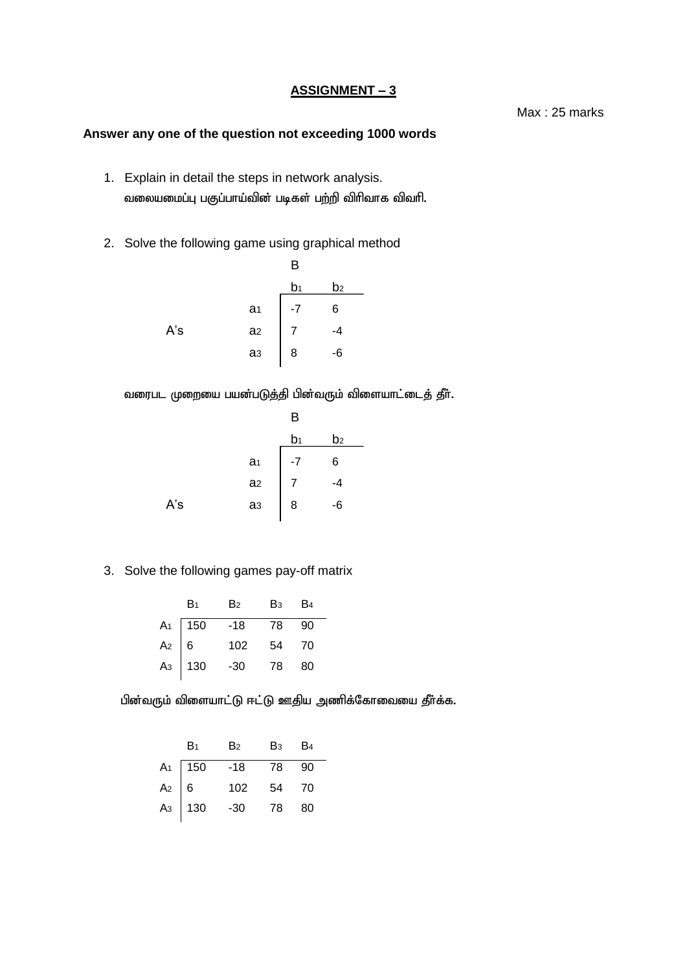### **Answer any one of the question not exceeding 1000 words**

- 1. Explain in detail the steps in network analysis. வலையமைப்பு பகுப்பாய்வின் படிகள் பற்றி விரிவாக விவரி.
- 2. Solve the following game using graphical method

|     |                | B  |    |  |
|-----|----------------|----|----|--|
|     |                | b1 | b2 |  |
|     | a <sub>1</sub> |    | 6  |  |
| A's | a <sub>2</sub> |    |    |  |
|     | a <sub>3</sub> | 8  | -6 |  |
|     |                |    |    |  |

வரைபட முறையை பயன்படுத்தி பின்வரும் விளையாட்டைத் தீா்.

|     |                | B  |    |  |
|-----|----------------|----|----|--|
|     |                | b1 | b2 |  |
|     | a <sub>1</sub> | -7 | 6  |  |
|     | a <sub>2</sub> |    |    |  |
| A's | a <sub>3</sub> | 8  | -6 |  |
|     |                |    |    |  |

3. Solve the following games pay-off matrix

| B <sub>1</sub>                    | B2    | B <sub>3</sub> B <sub>4</sub> |      |
|-----------------------------------|-------|-------------------------------|------|
|                                   | $-18$ | 78                            | - 90 |
|                                   | 102   | 54                            | 70   |
| $A_1$ 150<br>$A_2$ 6<br>$A_3$ 130 | $-30$ | 78                            | 80   |

பின்வரும் விளையாட்டு ஈட்டு ஊதிய அணிக்கோவையை தீர்க்க.

| B <sub>1</sub>                    | B <sub>2</sub> | Вз | - B4 |
|-----------------------------------|----------------|----|------|
|                                   | -18            | 78 | 90   |
| $A_1$ 150<br>$A_2$ 6<br>$A_3$ 130 | 102            | 54 | - 70 |
|                                   | $-30$          | 78 | 80   |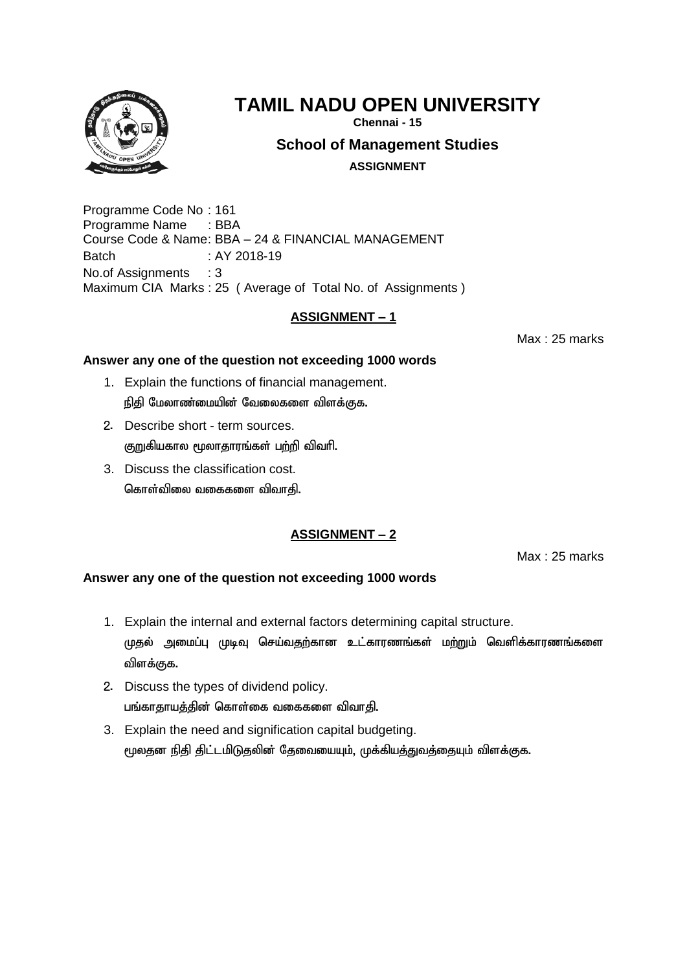

**Chennai - 15**

**School of Management Studies**

**ASSIGNMENT**

Programme Code No : 161 Programme Name : BBA Course Code & Name: BBA – 24 & FINANCIAL MANAGEMENT Batch : AY 2018-19 No.of Assignments : 3 Maximum CIA Marks : 25 ( Average of Total No. of Assignments )

# **ASSIGNMENT – 1**

Max : 25 marks

## **Answer any one of the question not exceeding 1000 words**

- 1. Explain the functions of financial management. நிதி மேலாண்மையின் வேலைகளை விளக்குக.
- 2. Describe short term sources. குறுகியகால மூலாதாரங்கள் பற்றி விவரி.
- 3. Discuss the classification cost. கொள்விலை வகைகளை விவாதி.

# **ASSIGNMENT – 2**

Max : 25 marks

- 1. Explain the internal and external factors determining capital structure. முதல் அமைப்பு முடிவு செய்வதற்கான உட்காரணங்கள் மற்றும் வெளிக்காரணங்களை விளக்குக.
- 2. Discuss the types of dividend policy. பங்காதாயத்தின் கொள்கை வகைகளை விவாதி.
- 3. Explain the need and signification capital budgeting. மூலதன நிதி திட்டமிடுதலின் தேவையையும், முக்கியத்துவத்தையும் விளக்குக.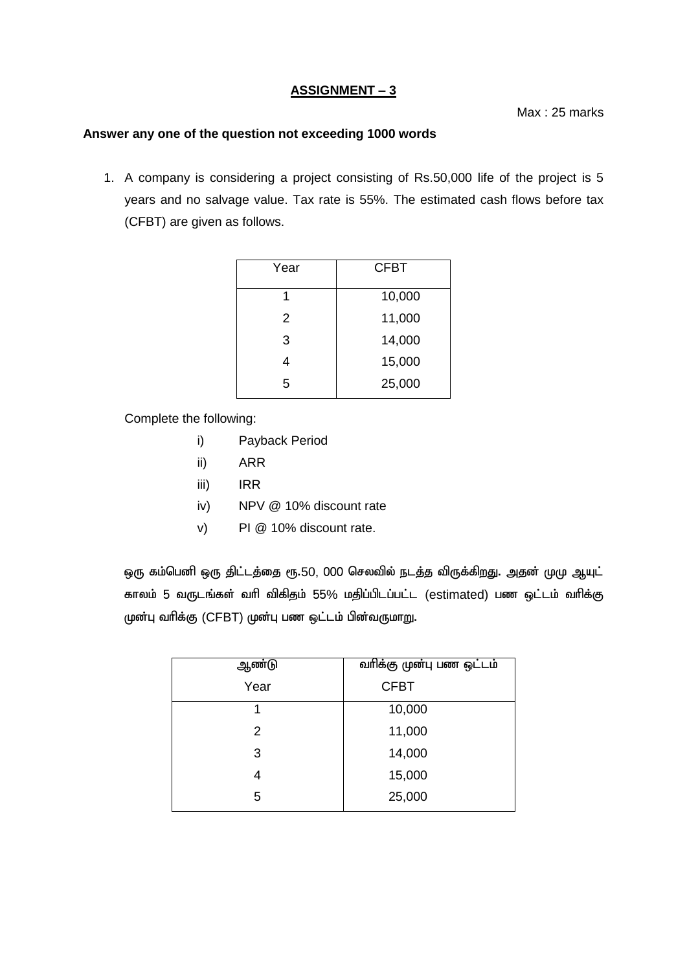Max : 25 marks

#### **Answer any one of the question not exceeding 1000 words**

1. A company is considering a project consisting of Rs.50,000 life of the project is 5 years and no salvage value. Tax rate is 55%. The estimated cash flows before tax (CFBT) are given as follows.

| Year | <b>CFBT</b> |
|------|-------------|
| 1    | 10,000      |
| 2    | 11,000      |
| 3    | 14,000      |
|      | 15,000      |
| 5    | 25,000      |

Complete the following:

- i) Payback Period
- ii) ARR
- iii) IRR
- iv) NPV @ 10% discount rate
- v) PI @ 10% discount rate.

ஒரு கம்பெனி ஒரு திட்டத்தை ரூ.50, 000 செலவில் நடத்த விருக்கிறது. அதன் முமு ஆயுட் காலம் 5 வருடங்கள் வரி விகிதம் 55% மதிப்பிடப்பட்ட (estimated) பண ஒட்டம் வரிக்கு முன்பு வரிக்கு (CFBT) முன்பு பண ஒட்டம் பின்வருமாறு.

| ஆண்டு | வரிக்கு முன்பு பண ஒட்டம் |
|-------|--------------------------|
| Year  | <b>CFBT</b>              |
| 1     | 10,000                   |
| 2     | 11,000                   |
| 3     | 14,000                   |
|       | 15,000                   |
| 5     | 25,000                   |
|       |                          |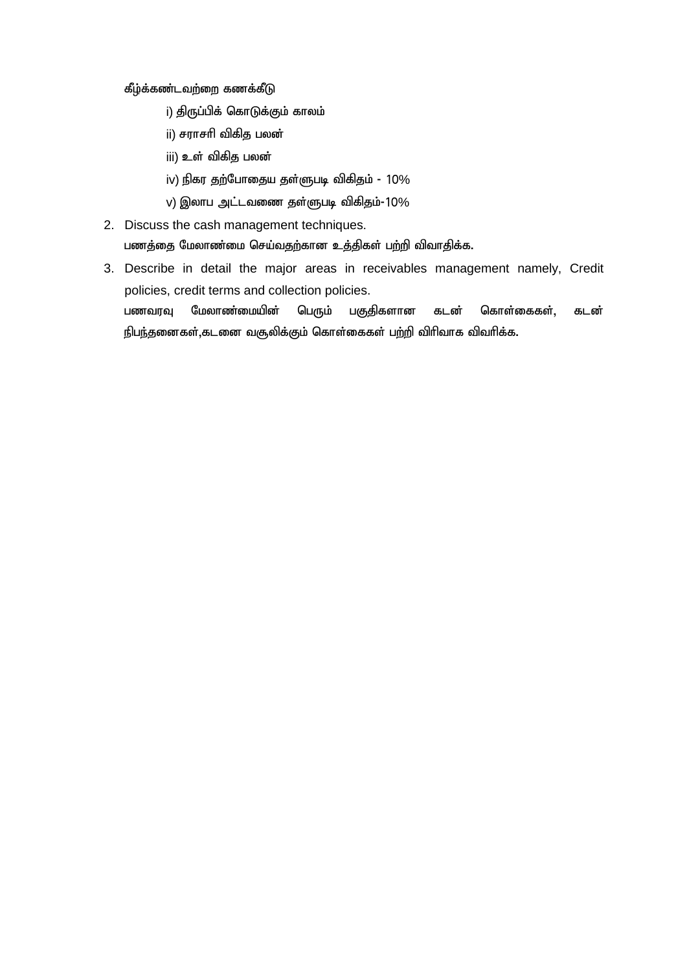கீழ்க்கண்டவற்றை கணக்கீடு

- i) திருப்பிக் கொடுக்கும் காலம்
- ii) சராசரி விகித பலன்
- iii) உள் விகித பலன்
- iv) நிகர தற்போதைய தள்ளுபடி விகிதம்  $10\%$
- $v$ ) இலாப அட்டவணை தள்ளுபடி விகிதம்-10 $\%$
- 2. Discuss the cash management techniques. பணத்தை மேலாண்மை செய்வதற்கான உத்திகள் பற்றி விவாதிக்க.
- 3. Describe in detail the major areas in receivables management namely, Credit policies, credit terms and collection policies. பணவரவு மேலாண்மையின் பெரும் பகுதிகளான கடன் கொள்கைகள், கடன் நிபந்தனைகள்,கடனை வசூலிக்கும் கொள்கைகள் பற்றி விரிவாக விவரிக்க.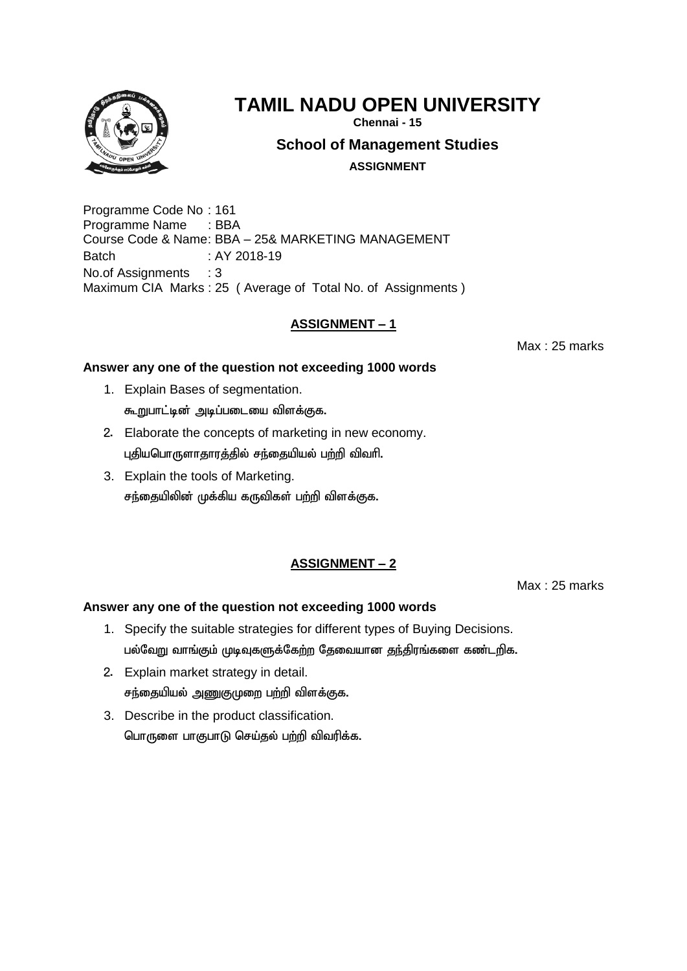

**Chennai - 15**

**School of Management Studies**

**ASSIGNMENT**

Programme Code No : 161 Programme Name : BBA Course Code & Name: BBA – 25& MARKETING MANAGEMENT Batch : AY 2018-19 No.of Assignments : 3 Maximum CIA Marks : 25 ( Average of Total No. of Assignments )

# **ASSIGNMENT – 1**

Max : 25 marks

# **Answer any one of the question not exceeding 1000 words**

- 1. Explain Bases of segmentation. கூறுபாட்டின் அடிப்படையை விளக்குக.
- 2. Elaborate the concepts of marketing in new economy. புதியபொருளாதாரத்தில் சந்தையியல் பற்றி விவரி.
- 3. Explain the tools of Marketing. சந்தையிலின் முக்கிய கருவிகள் பற்றி விளக்குக.

# **ASSIGNMENT – 2**

Max : 25 marks

- 1. Specify the suitable strategies for different types of Buying Decisions. பல்வேறு வாங்கும் முடிவுகளுக்கேற்ற தேவையான தந்திரங்களை கண்டறிக.
- 2. Explain market strategy in detail. சந்தையியல் அணுகுமுறை பற்றி விளக்குக.
- 3. Describe in the product classification. பொருளை பாகுபாடு செய்தல் பற்றி விவரிக்க.